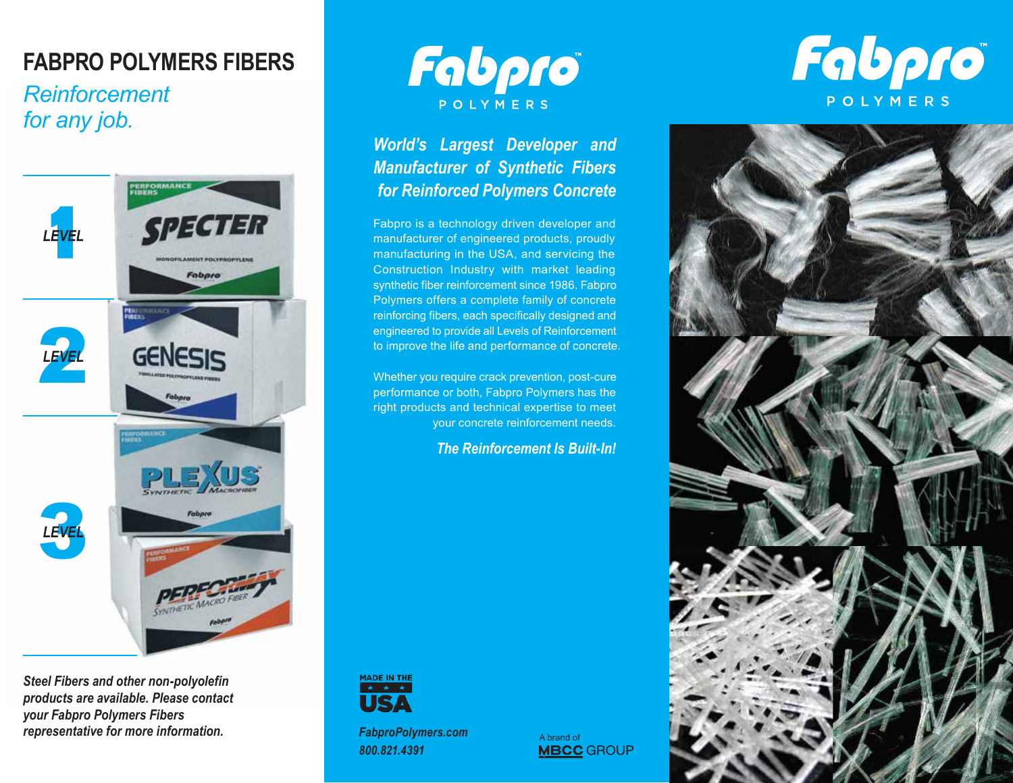## **FABPRO POLYMERS FIBERS**

## *Reinforcement for any job.*



*Steel Fibers and other non-polyolefin products are available. Please contact your Fabpro Polymers Fibers representative for more information.*



### *World's Largest Developer and Manufacturer of Synthetic Fibers for Reinforced Polymers Concrete*

Fabpro is a technology driven developer and manufacturer of engineered products, proudly manufacturing in the USA, and servicing the Construction Industry with market leading synthetic fiber reinforcement since 1986. Fabpro Polymers offers a complete family of concrete reinforcing fibers, each specifically designed and engineered to provide all Levels of Reinforcement to improve the life and performance of concrete.

Whether you require crack prevention, post-cure performance or both, Fabpro Polymers has the right products and technical expertise to meet your concrete reinforcement needs.

*The Reinforcement Is Built-In!* 



*FabproPolymers.com 800.821.4391*

A brand of<br>**MBCC** GROUP

# Fabpro POLYMERS